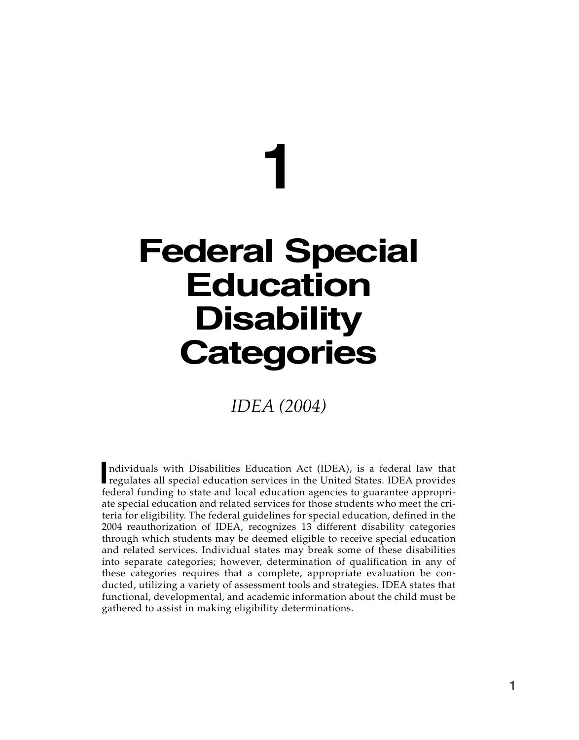# **1 Federal Special Education Disability Categories**

*IDEA (2004)*

ndividuals with Disabilities Education Act (IDEA), is a federal law that regulates all special education services in the United States. IDEA provides regulates all special education services in the United States. IDEA provides federal funding to state and local education agencies to guarantee appropriate special education and related services for those students who meet the criteria for eligibility. The federal guidelines for special education, defined in the 2004 reauthorization of IDEA, recognizes 13 different disability categories through which students may be deemed eligible to receive special education and related services. Individual states may break some of these disabilities into separate categories; however, determination of qualification in any of these categories requires that a complete, appropriate evaluation be conducted, utilizing a variety of assessment tools and strategies. IDEA states that functional, developmental, and academic information about the child must be gathered to assist in making eligibility determinations.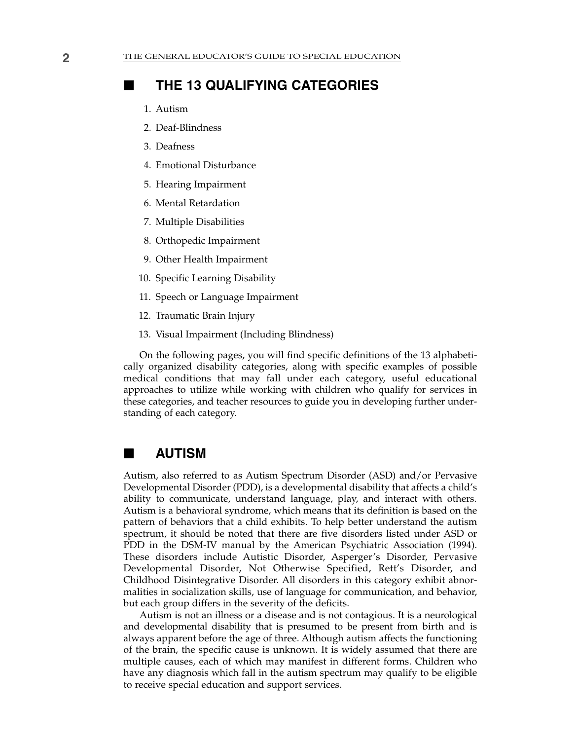# **■ THE 13 QUALIFYING CATEGORIES**

- 1. Autism
- 2. Deaf-Blindness
- 3. Deafness
- 4. Emotional Disturbance
- 5. Hearing Impairment
- 6. Mental Retardation
- 7. Multiple Disabilities
- 8. Orthopedic Impairment
- 9. Other Health Impairment
- 10. Specific Learning Disability
- 11. Speech or Language Impairment
- 12. Traumatic Brain Injury
- 13. Visual Impairment (Including Blindness)

On the following pages, you will find specific definitions of the 13 alphabetically organized disability categories, along with specific examples of possible medical conditions that may fall under each category, useful educational approaches to utilize while working with children who qualify for services in these categories, and teacher resources to guide you in developing further understanding of each category.

## **■ AUTISM**

Autism, also referred to as Autism Spectrum Disorder (ASD) and/or Pervasive Developmental Disorder (PDD), is a developmental disability that affects a child's ability to communicate, understand language, play, and interact with others. Autism is a behavioral syndrome, which means that its definition is based on the pattern of behaviors that a child exhibits. To help better understand the autism spectrum, it should be noted that there are five disorders listed under ASD or PDD in the DSM-IV manual by the American Psychiatric Association (1994). These disorders include Autistic Disorder, Asperger's Disorder, Pervasive Developmental Disorder, Not Otherwise Specified, Rett's Disorder, and Childhood Disintegrative Disorder. All disorders in this category exhibit abnormalities in socialization skills, use of language for communication, and behavior, but each group differs in the severity of the deficits.

Autism is not an illness or a disease and is not contagious. It is a neurological and developmental disability that is presumed to be present from birth and is always apparent before the age of three. Although autism affects the functioning of the brain, the specific cause is unknown. It is widely assumed that there are multiple causes, each of which may manifest in different forms. Children who have any diagnosis which fall in the autism spectrum may qualify to be eligible to receive special education and support services.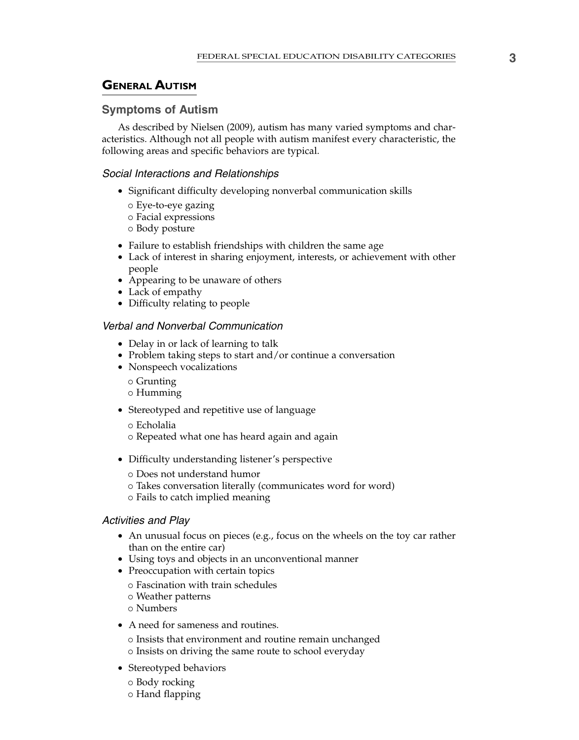## **GENERAL AUTISM**

## **Symptoms of Autism**

As described by Nielsen (2009), autism has many varied symptoms and characteristics. Although not all people with autism manifest every characteristic, the following areas and specific behaviors are typical.

#### *Social Interactions and Relationships*

- Significant difficulty developing nonverbal communication skills
	- Eye-to-eye gazing
	- Facial expressions
	- $\circ$  Body posture
- Failure to establish friendships with children the same age
- Lack of interest in sharing enjoyment, interests, or achievement with other people
- Appearing to be unaware of others
- Lack of empathy
- Difficulty relating to people

## *Verbal and Nonverbal Communication*

- Delay in or lack of learning to talk
- Problem taking steps to start and/or continue a conversation
- Nonspeech vocalizations

- Grunting - Humming

• Stereotyped and repetitive use of language

- Echolalia - Repeated what one has heard again and again

• Difficulty understanding listener's perspective

- Does not understand humor

- Takes conversation literally (communicates word for word)
- Fails to catch implied meaning

## *Activities and Play*

- An unusual focus on pieces (e.g., focus on the wheels on the toy car rather than on the entire car)
- Using toys and objects in an unconventional manner
- Preoccupation with certain topics
	- Fascination with train schedules
	- Weather patterns
	- Numbers
- A need for sameness and routines.

- Insists that environment and routine remain unchanged - Insists on driving the same route to school everyday

- Stereotyped behaviors
	- Body rocking
	- Hand flapping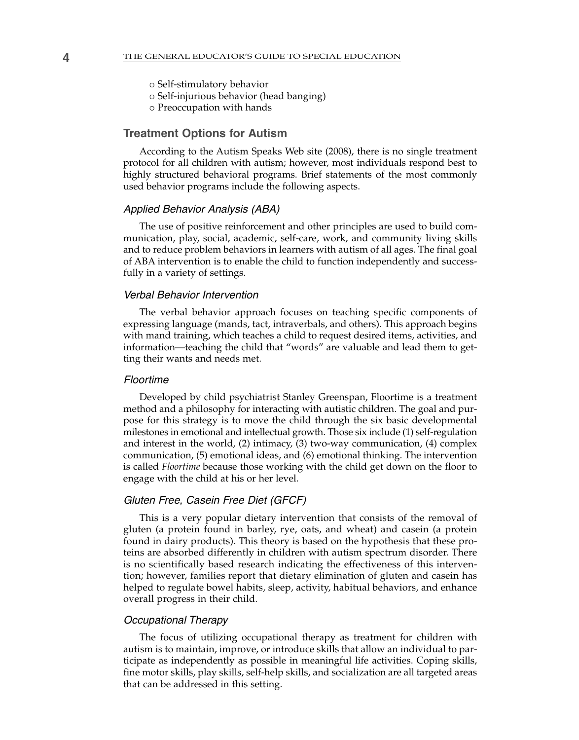- Self-stimulatory behavior
- Self-injurious behavior (head banging)
- Preoccupation with hands

## **Treatment Options for Autism**

According to the Autism Speaks Web site (2008), there is no single treatment protocol for all children with autism; however, most individuals respond best to highly structured behavioral programs. Brief statements of the most commonly used behavior programs include the following aspects.

#### *Applied Behavior Analysis (ABA)*

The use of positive reinforcement and other principles are used to build communication, play, social, academic, self-care, work, and community living skills and to reduce problem behaviors in learners with autism of all ages. The final goal of ABA intervention is to enable the child to function independently and successfully in a variety of settings.

#### *Verbal Behavior Intervention*

The verbal behavior approach focuses on teaching specific components of expressing language (mands, tact, intraverbals, and others). This approach begins with mand training, which teaches a child to request desired items, activities, and information—teaching the child that "words" are valuable and lead them to getting their wants and needs met.

#### *Floortime*

Developed by child psychiatrist Stanley Greenspan, Floortime is a treatment method and a philosophy for interacting with autistic children. The goal and purpose for this strategy is to move the child through the six basic developmental milestones in emotional and intellectual growth. Those six include (1) self-regulation and interest in the world, (2) intimacy, (3) two-way communication, (4) complex communication, (5) emotional ideas, and (6) emotional thinking. The intervention is called *Floortime* because those working with the child get down on the floor to engage with the child at his or her level.

#### *Gluten Free, Casein Free Diet (GFCF)*

This is a very popular dietary intervention that consists of the removal of gluten (a protein found in barley, rye, oats, and wheat) and casein (a protein found in dairy products). This theory is based on the hypothesis that these proteins are absorbed differently in children with autism spectrum disorder. There is no scientifically based research indicating the effectiveness of this intervention; however, families report that dietary elimination of gluten and casein has helped to regulate bowel habits, sleep, activity, habitual behaviors, and enhance overall progress in their child.

#### *Occupational Therapy*

The focus of utilizing occupational therapy as treatment for children with autism is to maintain, improve, or introduce skills that allow an individual to participate as independently as possible in meaningful life activities. Coping skills, fine motor skills, play skills, self-help skills, and socialization are all targeted areas that can be addressed in this setting.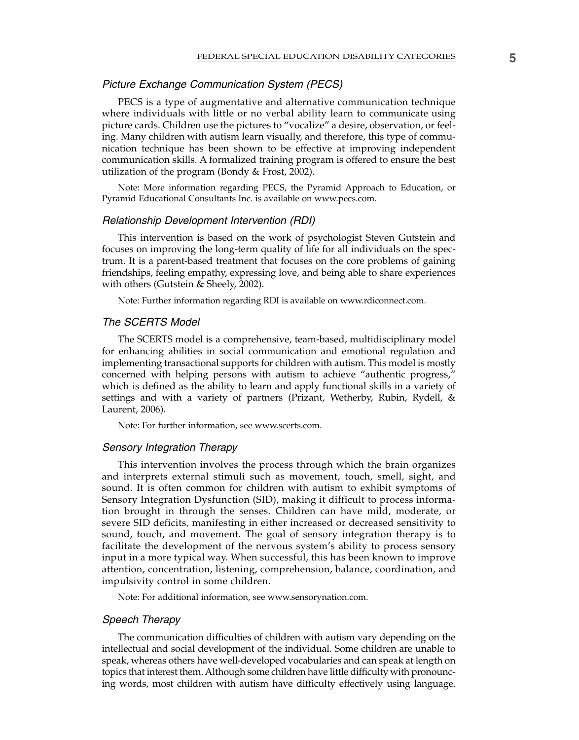## *Picture Exchange Communication System (PECS)*

PECS is a type of augmentative and alternative communication technique where individuals with little or no verbal ability learn to communicate using picture cards. Children use the pictures to "vocalize" a desire, observation, or feeling. Many children with autism learn visually, and therefore, this type of communication technique has been shown to be effective at improving independent communication skills. A formalized training program is offered to ensure the best utilization of the program (Bondy & Frost, 2002).

Note: More information regarding PECS, the Pyramid Approach to Education, or Pyramid Educational Consultants Inc. is available on www.pecs.com.

#### *Relationship Development Intervention (RDI)*

This intervention is based on the work of psychologist Steven Gutstein and focuses on improving the long-term quality of life for all individuals on the spectrum. It is a parent-based treatment that focuses on the core problems of gaining friendships, feeling empathy, expressing love, and being able to share experiences with others (Gutstein & Sheely, 2002).

Note: Further information regarding RDI is available on www.rdiconnect.com.

## *The SCERTS Model*

The SCERTS model is a comprehensive, team-based, multidisciplinary model for enhancing abilities in social communication and emotional regulation and implementing transactional supports for children with autism. This model is mostly concerned with helping persons with autism to achieve "authentic progress," which is defined as the ability to learn and apply functional skills in a variety of settings and with a variety of partners (Prizant, Wetherby, Rubin, Rydell, & Laurent, 2006).

Note: For further information, see www.scerts.com.

#### *Sensory Integration Therapy*

This intervention involves the process through which the brain organizes and interprets external stimuli such as movement, touch, smell, sight, and sound. It is often common for children with autism to exhibit symptoms of Sensory Integration Dysfunction (SID), making it difficult to process information brought in through the senses. Children can have mild, moderate, or severe SID deficits, manifesting in either increased or decreased sensitivity to sound, touch, and movement. The goal of sensory integration therapy is to facilitate the development of the nervous system's ability to process sensory input in a more typical way. When successful, this has been known to improve attention, concentration, listening, comprehension, balance, coordination, and impulsivity control in some children.

Note: For additional information, see www.sensorynation.com.

#### *Speech Therapy*

The communication difficulties of children with autism vary depending on the intellectual and social development of the individual. Some children are unable to speak, whereas others have well-developed vocabularies and can speak at length on topics that interest them.Although some children have little difficulty with pronouncing words, most children with autism have difficulty effectively using language.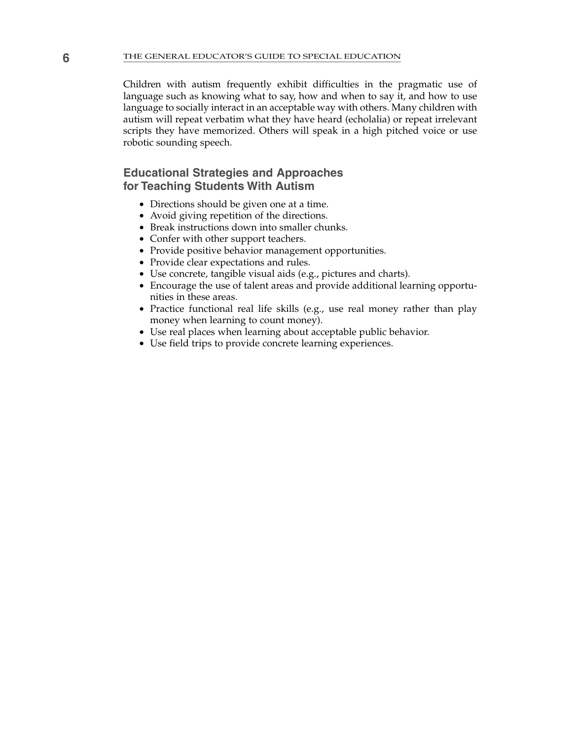Children with autism frequently exhibit difficulties in the pragmatic use of language such as knowing what to say, how and when to say it, and how to use language to socially interact in an acceptable way with others. Many children with autism will repeat verbatim what they have heard (echolalia) or repeat irrelevant scripts they have memorized. Others will speak in a high pitched voice or use robotic sounding speech.

## **Educational Strategies and Approaches for Teaching Students With Autism**

- Directions should be given one at a time.
- Avoid giving repetition of the directions.
- Break instructions down into smaller chunks.
- Confer with other support teachers.
- Provide positive behavior management opportunities.
- Provide clear expectations and rules.
- Use concrete, tangible visual aids (e.g., pictures and charts).
- Encourage the use of talent areas and provide additional learning opportunities in these areas.
- Practice functional real life skills (e.g., use real money rather than play money when learning to count money).
- Use real places when learning about acceptable public behavior.
- Use field trips to provide concrete learning experiences.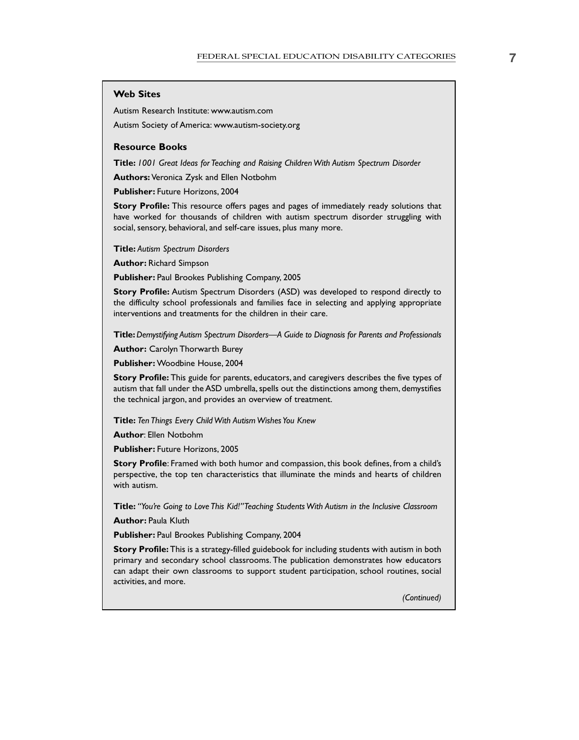## **Web Sites**

Autism Research Institute: www.autism.com

Autism Society of America: www.autism-society.org

#### **Resource Books**

**Title:** *1001 Great Ideas for Teaching and Raising Children With Autism Spectrum Disorder*

**Authors:** Veronica Zysk and Ellen Notbohm

**Publisher:** Future Horizons, 2004

**Story Profile:** This resource offers pages and pages of immediately ready solutions that have worked for thousands of children with autism spectrum disorder struggling with social, sensory, behavioral, and self-care issues, plus many more.

**Title:** *Autism Spectrum Disorders*

**Author:** Richard Simpson

**Publisher:** Paul Brookes Publishing Company, 2005

**Story Profile:** Autism Spectrum Disorders (ASD) was developed to respond directly to the difficulty school professionals and families face in selecting and applying appropriate interventions and treatments for the children in their care.

**Title:***Demystifying Autism Spectrum Disorders—A Guide to Diagnosis for Parents and Professionals*

**Author:** Carolyn Thorwarth Burey

**Publisher:** Woodbine House, 2004

**Story Profile:** This guide for parents, educators, and caregivers describes the five types of autism that fall under the ASD umbrella, spells out the distinctions among them, demystifies the technical jargon, and provides an overview of treatment.

**Title:** *Ten Things Every Child With Autism Wishes You Knew*

**Author**: Ellen Notbohm

**Publisher:** Future Horizons, 2005

**Story Profile**: Framed with both humor and compassion, this book defines, from a child's perspective, the top ten characteristics that illuminate the minds and hearts of children with autism.

**Title:** *"You're Going to Love This Kid!"Teaching Students With Autism in the Inclusive Classroom*

**Author:** Paula Kluth

**Publisher:** Paul Brookes Publishing Company, 2004

**Story Profile:** This is a strategy-filled guidebook for including students with autism in both primary and secondary school classrooms. The publication demonstrates how educators can adapt their own classrooms to support student participation, school routines, social activities, and more.

*(Continued)*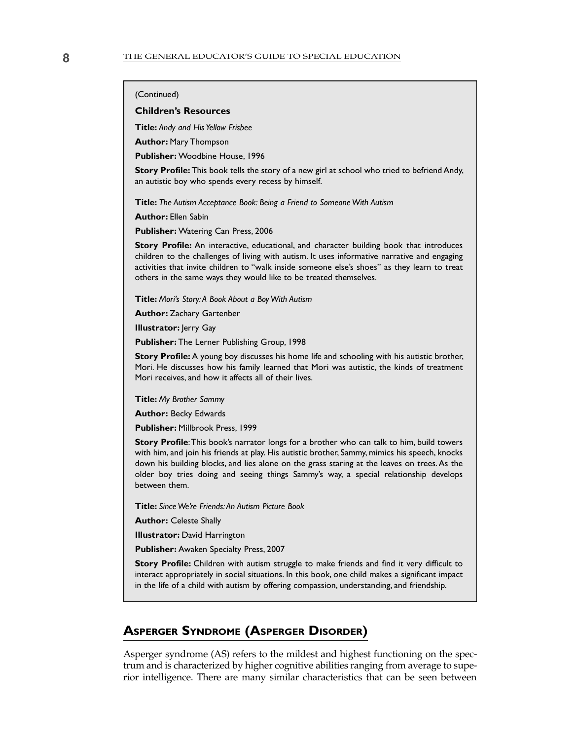#### (Continued)

#### **Children's Resources**

**Title:** *Andy and His Yellow Frisbee*

**Author:** Mary Thompson

**Publisher:** Woodbine House, 1996

**Story Profile:** This book tells the story of a new girl at school who tried to befriend Andy, an autistic boy who spends every recess by himself.

**Title:** *The Autism Acceptance Book: Being a Friend to Someone With Autism*

**Author:** Ellen Sabin

**Publisher:** Watering Can Press, 2006

**Story Profile:** An interactive, educational, and character building book that introduces children to the challenges of living with autism. It uses informative narrative and engaging activities that invite children to "walk inside someone else's shoes" as they learn to treat others in the same ways they would like to be treated themselves.

**Title:** *Mori's Story:A Book About a Boy With Autism*

**Author:** Zachary Gartenber

**Illustrator:** Jerry Gay

**Publisher:** The Lerner Publishing Group, 1998

**Story Profile:** A young boy discusses his home life and schooling with his autistic brother, Mori. He discusses how his family learned that Mori was autistic, the kinds of treatment Mori receives, and how it affects all of their lives.

**Title:** *My Brother Sammy*

**Author:** Becky Edwards

**Publisher:** Millbrook Press, 1999

**Story Profile**:This book's narrator longs for a brother who can talk to him, build towers with him, and join his friends at play. His autistic brother, Sammy, mimics his speech, knocks down his building blocks, and lies alone on the grass staring at the leaves on trees.As the older boy tries doing and seeing things Sammy's way, a special relationship develops between them.

**Title:** *Since We're Friends:An Autism Picture Book*

**Author:** Celeste Shally

**Illustrator:** David Harrington

**Publisher:** Awaken Specialty Press, 2007

**Story Profile:** Children with autism struggle to make friends and find it very difficult to interact appropriately in social situations. In this book, one child makes a significant impact in the life of a child with autism by offering compassion, understanding, and friendship.

# **ASPERGER SYNDROME (ASPERGER DISORDER)**

Asperger syndrome (AS) refers to the mildest and highest functioning on the spectrum and is characterized by higher cognitive abilities ranging from average to superior intelligence. There are many similar characteristics that can be seen between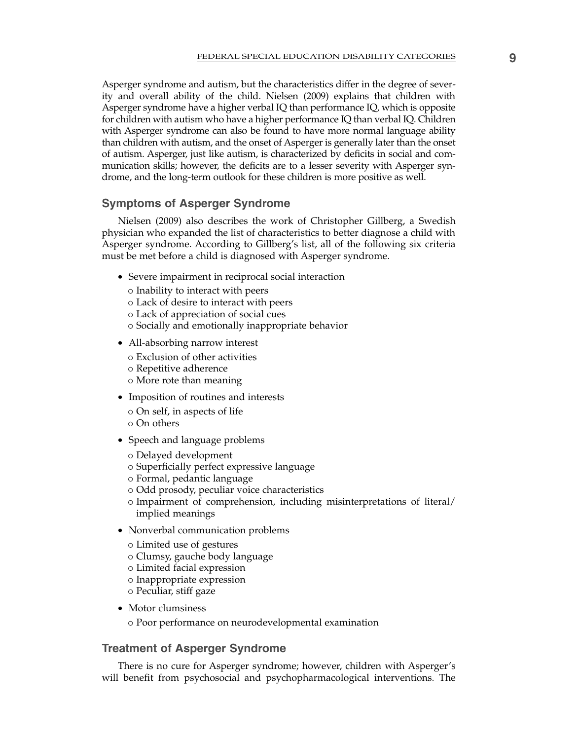Asperger syndrome and autism, but the characteristics differ in the degree of severity and overall ability of the child. Nielsen (2009) explains that children with Asperger syndrome have a higher verbal IQ than performance IQ, which is opposite for children with autism who have a higher performance IQ than verbal IQ. Children with Asperger syndrome can also be found to have more normal language ability than children with autism, and the onset of Asperger is generally later than the onset of autism. Asperger, just like autism, is characterized by deficits in social and communication skills; however, the deficits are to a lesser severity with Asperger syndrome, and the long-term outlook for these children is more positive as well.

## **Symptoms of Asperger Syndrome**

Nielsen (2009) also describes the work of Christopher Gillberg, a Swedish physician who expanded the list of characteristics to better diagnose a child with Asperger syndrome. According to Gillberg's list, all of the following six criteria must be met before a child is diagnosed with Asperger syndrome.

- Severe impairment in reciprocal social interaction
	- Inability to interact with peers
	- Lack of desire to interact with peers
	- Lack of appreciation of social cues
	- Socially and emotionally inappropriate behavior
- All-absorbing narrow interest
	- Exclusion of other activities
	- Repetitive adherence
	- More rote than meaning
- Imposition of routines and interests
	- On self, in aspects of life  $\circ$  On others
- Speech and language problems
	- Delayed development
	- Superficially perfect expressive language
	- Formal, pedantic language
	- Odd prosody, peculiar voice characteristics
	- Impairment of comprehension, including misinterpretations of literal/ implied meanings
- Nonverbal communication problems
	- Limited use of gestures
	- Clumsy, gauche body language
	- Limited facial expression
	- Inappropriate expression
	- Peculiar, stiff gaze
- Motor clumsiness

- Poor performance on neurodevelopmental examination

## **Treatment of Asperger Syndrome**

There is no cure for Asperger syndrome; however, children with Asperger's will benefit from psychosocial and psychopharmacological interventions. The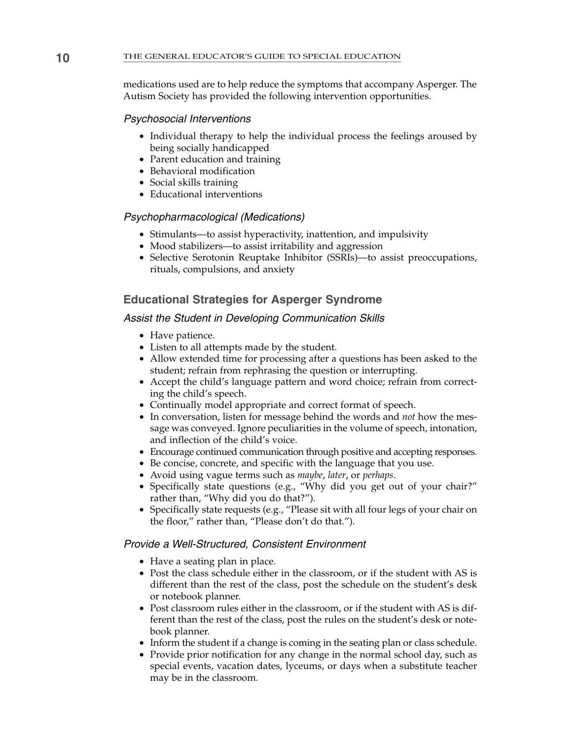medications used are to help reduce the symptoms that accompany Asperger. The Autism Society has provided the following intervention opportunities.

## *Psychosocial Interventions*

- Individual therapy to help the individual process the feelings aroused by being socially handicapped
- Parent education and training
- Behavioral modification
- Social skills training
- Educational interventions

## *Psychopharmacological (Medications)*

- Stimulants—to assist hyperactivity, inattention, and impulsivity
- Mood stabilizers—to assist irritability and aggression
- Selective Serotonin Reuptake Inhibitor (SSRIs)—to assist preoccupations, rituals, compulsions, and anxiety

## **Educational Strategies for Asperger Syndrome**

## *Assist the Student in Developing Communication Skills*

- Have patience.
- Listen to all attempts made by the student.
- Allow extended time for processing after a questions has been asked to the student; refrain from rephrasing the question or interrupting.
- Accept the child's language pattern and word choice; refrain from correcting the child's speech.
- Continually model appropriate and correct format of speech.
- In conversation, listen for message behind the words and *not* how the message was conveyed. Ignore peculiarities in the volume of speech, intonation, and inflection of the child's voice.
- Encourage continued communication through positive and accepting responses.
- Be concise, concrete, and specific with the language that you use.
- Avoid using vague terms such as *maybe*, *later*, or *perhaps*.
- Specifically state questions (e.g., "Why did you get out of your chair?" rather than, "Why did you do that?").
- Specifically state requests (e.g., "Please sit with all four legs of your chair on the floor," rather than, "Please don't do that.").

## *Provide a Well-Structured, Consistent Environment*

- Have a seating plan in place.
- Post the class schedule either in the classroom, or if the student with AS is different than the rest of the class, post the schedule on the student's desk or notebook planner.
- Post classroom rules either in the classroom, or if the student with AS is different than the rest of the class, post the rules on the student's desk or notebook planner.
- Inform the student if a change is coming in the seating plan or class schedule.
- Provide prior notification for any change in the normal school day, such as special events, vacation dates, lyceums, or days when a substitute teacher may be in the classroom.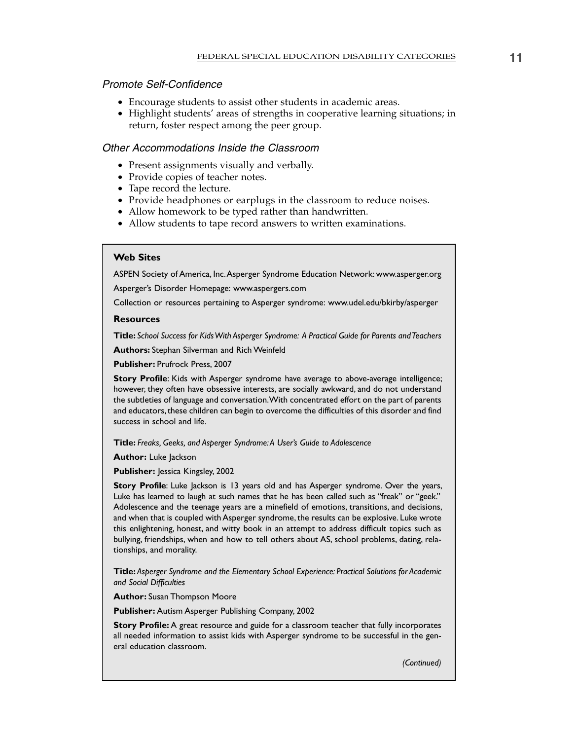## *Promote Self-Confidence*

- Encourage students to assist other students in academic areas.
- Highlight students' areas of strengths in cooperative learning situations; in return, foster respect among the peer group.

## *Other Accommodations Inside the Classroom*

- Present assignments visually and verbally.
- Provide copies of teacher notes.
- Tape record the lecture.
- Provide headphones or earplugs in the classroom to reduce noises.
- Allow homework to be typed rather than handwritten.
- Allow students to tape record answers to written examinations.

#### **Web Sites**

ASPEN Society of America, Inc.Asperger Syndrome Education Network: www.asperger.org

Asperger's Disorder Homepage: www.aspergers.com

Collection or resources pertaining to Asperger syndrome: www.udel.edu/bkirby/asperger

#### **Resources**

**Title:** *School Success for KidsWith Asperger Syndrome: A Practical Guide for Parents andTeachers*

**Authors:** Stephan Silverman and Rich Weinfeld

**Publisher:** Prufrock Press, 2007

**Story Profile**: Kids with Asperger syndrome have average to above-average intelligence; however, they often have obsessive interests, are socially awkward, and do not understand the subtleties of language and conversation.With concentrated effort on the part of parents and educators, these children can begin to overcome the difficulties of this disorder and find success in school and life.

**Title:** *Freaks, Geeks, and Asperger Syndrome:A User's Guide to Adolescence*

**Author:** Luke Jackson

**Publisher:** Jessica Kingsley, 2002

**Story Profile**: Luke Jackson is 13 years old and has Asperger syndrome. Over the years, Luke has learned to laugh at such names that he has been called such as "freak" or "geek." Adolescence and the teenage years are a minefield of emotions, transitions, and decisions, and when that is coupled with Asperger syndrome, the results can be explosive. Luke wrote this enlightening, honest, and witty book in an attempt to address difficult topics such as bullying, friendships, when and how to tell others about AS, school problems, dating, relationships, and morality.

**Title:** *Asperger Syndrome and the Elementary School Experience: Practical Solutions for Academic and Social Difficulties*

**Author:** Susan Thompson Moore

**Publisher:** Autism Asperger Publishing Company, 2002

**Story Profile:** A great resource and guide for a classroom teacher that fully incorporates all needed information to assist kids with Asperger syndrome to be successful in the general education classroom.

*(Continued)*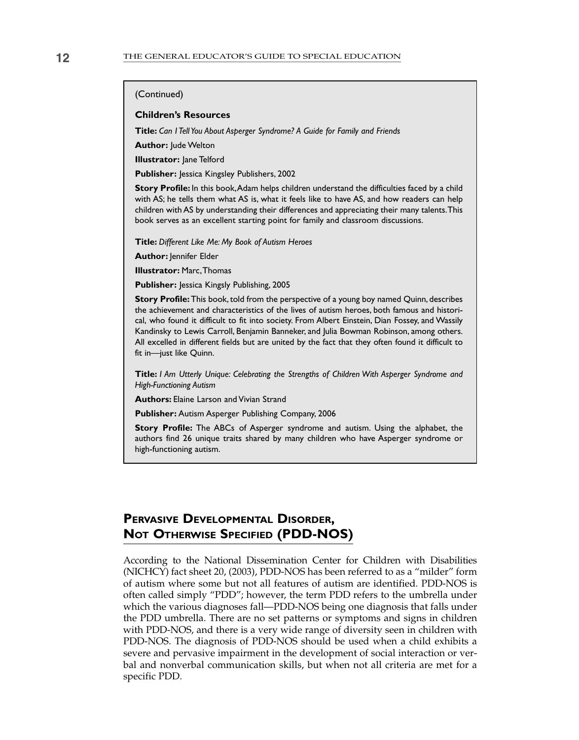## (Continued)

#### **Children's Resources**

**Title:** *Can I Tell You About Asperger Syndrome? A Guide for Family and Friends*

**Author: Jude Welton** 

**Illustrator:** Jane Telford

**Publisher:** Jessica Kingsley Publishers, 2002

**Story Profile:** In this book,Adam helps children understand the difficulties faced by a child with AS; he tells them what AS is, what it feels like to have AS, and how readers can help children withAS by understanding their differences and appreciating their many talents.This book serves as an excellent starting point for family and classroom discussions.

**Title:** *Different Like Me: My Book of Autism Heroes*

**Author:** Jennifer Elder

**Illustrator:** Marc,Thomas

**Publisher:** Jessica Kingsly Publishing, 2005

**Story Profile:** This book, told from the perspective of a young boy named Quinn, describes the achievement and characteristics of the lives of autism heroes, both famous and historical, who found it difficult to fit into society. From Albert Einstein, Dian Fossey, and Wassily Kandinsky to Lewis Carroll, Benjamin Banneker, and Julia Bowman Robinson, among others. All excelled in different fields but are united by the fact that they often found it difficult to fit in—just like Quinn.

**Title:** *I Am Utterly Unique: Celebrating the Strengths of Children With Asperger Syndrome and High-Functioning Autism*

**Authors:** Elaine Larson and Vivian Strand

**Publisher:** Autism Asperger Publishing Company, 2006

**Story Profile:** The ABCs of Asperger syndrome and autism. Using the alphabet, the authors find 26 unique traits shared by many children who have Asperger syndrome or high-functioning autism.

# **PERVASIVE DEVELOPMENTAL DISORDER, NOT OTHERWISE SPECIFIED (PDD-NOS)**

According to the National Dissemination Center for Children with Disabilities (NICHCY) fact sheet 20, (2003), PDD-NOS has been referred to as a "milder" form of autism where some but not all features of autism are identified. PDD-NOS is often called simply "PDD"; however, the term PDD refers to the umbrella under which the various diagnoses fall—PDD-NOS being one diagnosis that falls under the PDD umbrella. There are no set patterns or symptoms and signs in children with PDD-NOS, and there is a very wide range of diversity seen in children with PDD-NOS. The diagnosis of PDD-NOS should be used when a child exhibits a severe and pervasive impairment in the development of social interaction or verbal and nonverbal communication skills, but when not all criteria are met for a specific PDD.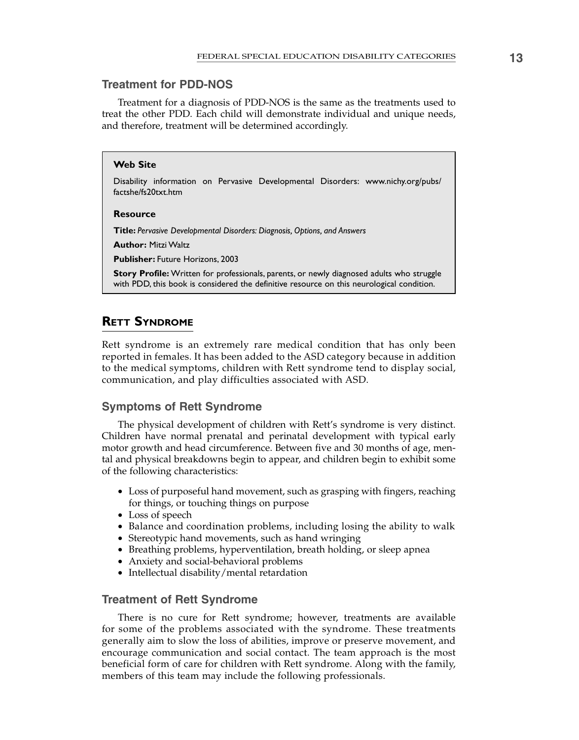## **Treatment for PDD-NOS**

Treatment for a diagnosis of PDD-NOS is the same as the treatments used to treat the other PDD. Each child will demonstrate individual and unique needs, and therefore, treatment will be determined accordingly.

## **Web Site**

Disability information on Pervasive Developmental Disorders: www.nichy.org/pubs/ factshe/fs20txt.htm

#### **Resource**

**Title:** *Pervasive Developmental Disorders: Diagnosis, Options, and Answers*

**Author:** Mitzi Waltz

**Publisher:** Future Horizons, 2003

**Story Profile:** Written for professionals, parents, or newly diagnosed adults who struggle with PDD, this book is considered the definitive resource on this neurological condition.

# **RETT SYNDROME**

Rett syndrome is an extremely rare medical condition that has only been reported in females. It has been added to the ASD category because in addition to the medical symptoms, children with Rett syndrome tend to display social, communication, and play difficulties associated with ASD.

## **Symptoms of Rett Syndrome**

The physical development of children with Rett's syndrome is very distinct. Children have normal prenatal and perinatal development with typical early motor growth and head circumference. Between five and 30 months of age, mental and physical breakdowns begin to appear, and children begin to exhibit some of the following characteristics:

- Loss of purposeful hand movement, such as grasping with fingers, reaching for things, or touching things on purpose
- Loss of speech
- Balance and coordination problems, including losing the ability to walk
- Stereotypic hand movements, such as hand wringing
- Breathing problems, hyperventilation, breath holding, or sleep apnea
- Anxiety and social-behavioral problems
- Intellectual disability/mental retardation

## **Treatment of Rett Syndrome**

There is no cure for Rett syndrome; however, treatments are available for some of the problems associated with the syndrome. These treatments generally aim to slow the loss of abilities, improve or preserve movement, and encourage communication and social contact. The team approach is the most beneficial form of care for children with Rett syndrome. Along with the family, members of this team may include the following professionals.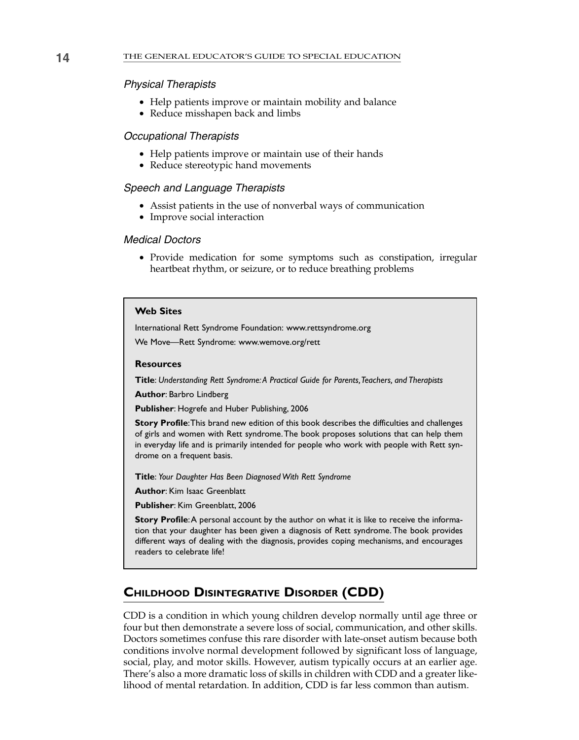## *Physical Therapists*

- Help patients improve or maintain mobility and balance
- Reduce misshapen back and limbs

## *Occupational Therapists*

- Help patients improve or maintain use of their hands
- Reduce stereotypic hand movements

## *Speech and Language Therapists*

- Assist patients in the use of nonverbal ways of communication
- Improve social interaction

## *Medical Doctors*

• Provide medication for some symptoms such as constipation, irregular heartbeat rhythm, or seizure, or to reduce breathing problems

#### **Web Sites**

International Rett Syndrome Foundation: www.rettsyndrome.org

We Move—Rett Syndrome: www.wemove.org/rett

#### **Resources**

**Title**: *Understanding Rett Syndrome:A Practical Guide for Parents,Teachers, and Therapists*

**Author**: Barbro Lindberg

**Publisher**: Hogrefe and Huber Publishing, 2006

**Story Profile**:This brand new edition of this book describes the difficulties and challenges of girls and women with Rett syndrome.The book proposes solutions that can help them in everyday life and is primarily intended for people who work with people with Rett syndrome on a frequent basis.

**Title**: *Your Daughter Has Been Diagnosed With Rett Syndrome*

**Author**: Kim Isaac Greenblatt

**Publisher**: Kim Greenblatt, 2006

**Story Profile**:A personal account by the author on what it is like to receive the information that your daughter has been given a diagnosis of Rett syndrome.The book provides different ways of dealing with the diagnosis, provides coping mechanisms, and encourages readers to celebrate life!

# **CHILDHOOD DISINTEGRATIVE DISORDER (CDD)**

CDD is a condition in which young children develop normally until age three or four but then demonstrate a severe loss of social, communication, and other skills. Doctors sometimes confuse this rare disorder with late-onset autism because both conditions involve normal development followed by significant loss of language, social, play, and motor skills. However, autism typically occurs at an earlier age. There's also a more dramatic loss of skills in children with CDD and a greater likelihood of mental retardation. In addition, CDD is far less common than autism.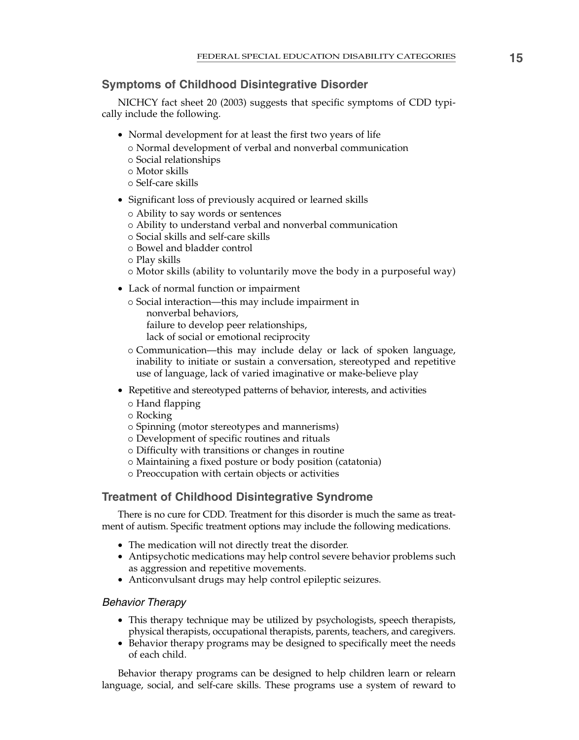## **Symptoms of Childhood Disintegrative Disorder**

NICHCY fact sheet 20 (2003) suggests that specific symptoms of CDD typically include the following.

- Normal development for at least the first two years of life
	- Normal development of verbal and nonverbal communication
	- Social relationships
	- $\circ$  Motor skills
	- Self-care skills
- Significant loss of previously acquired or learned skills
	- Ability to say words or sentences
	- Ability to understand verbal and nonverbal communication
	- Social skills and self-care skills
	- Bowel and bladder control
	- Play skills
	- Motor skills (ability to voluntarily move the body in a purposeful way)
- Lack of normal function or impairment
	- Social interaction—this may include impairment in nonverbal behaviors,
		-
		- failure to develop peer relationships,
		- lack of social or emotional reciprocity
	- Communication—this may include delay or lack of spoken language, inability to initiate or sustain a conversation, stereotyped and repetitive use of language, lack of varied imaginative or make-believe play
- Repetitive and stereotyped patterns of behavior, interests, and activities
	- Hand flapping
	- 0 Rocking
	- Spinning (motor stereotypes and mannerisms)
	- Development of specific routines and rituals
	- Difficulty with transitions or changes in routine
	- Maintaining a fixed posture or body position (catatonia)
	- Preoccupation with certain objects or activities

## **Treatment of Childhood Disintegrative Syndrome**

There is no cure for CDD. Treatment for this disorder is much the same as treatment of autism. Specific treatment options may include the following medications.

- The medication will not directly treat the disorder.
- Antipsychotic medications may help control severe behavior problems such as aggression and repetitive movements.
- Anticonvulsant drugs may help control epileptic seizures.

## *Behavior Therapy*

- This therapy technique may be utilized by psychologists, speech therapists, physical therapists, occupational therapists, parents, teachers, and caregivers.
- Behavior therapy programs may be designed to specifically meet the needs of each child.

Behavior therapy programs can be designed to help children learn or relearn language, social, and self-care skills. These programs use a system of reward to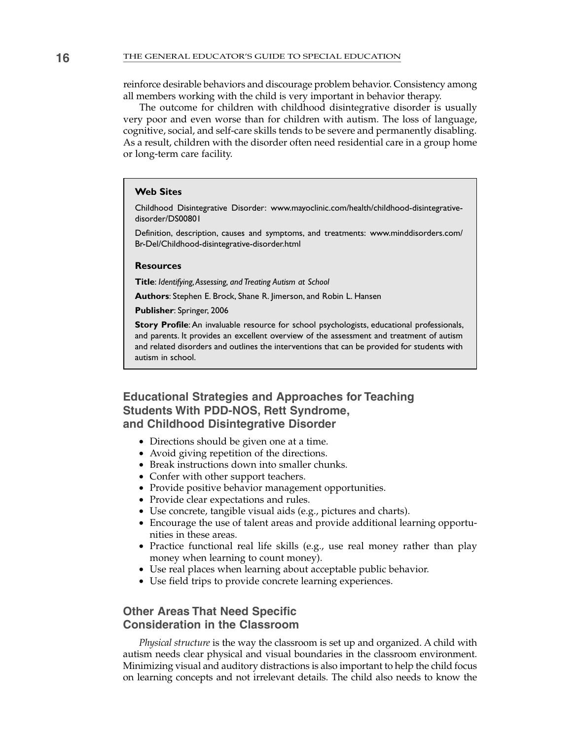reinforce desirable behaviors and discourage problem behavior. Consistency among all members working with the child is very important in behavior therapy.

The outcome for children with childhood disintegrative disorder is usually very poor and even worse than for children with autism. The loss of language, cognitive, social, and self-care skills tends to be severe and permanently disabling. As a result, children with the disorder often need residential care in a group home or long-term care facility.

#### **Web Sites**

Childhood Disintegrative Disorder: www.mayoclinic.com/health/childhood-disintegrativedisorder/DS00801

Definition, description, causes and symptoms, and treatments: www.minddisorders.com/ Br-Del/Childhood-disintegrative-disorder.html

#### **Resources**

**Title**: *Identifying,Assessing, and Treating Autism at School*

**Authors**: Stephen E. Brock, Shane R. Jimerson, and Robin L. Hansen

**Publisher**: Springer, 2006

**Story Profile**:An invaluable resource for school psychologists, educational professionals, and parents. It provides an excellent overview of the assessment and treatment of autism and related disorders and outlines the interventions that can be provided for students with autism in school.

## **Educational Strategies and Approaches for Teaching Students With PDD-NOS, Rett Syndrome, and Childhood Disintegrative Disorder**

- Directions should be given one at a time.
- Avoid giving repetition of the directions.
- Break instructions down into smaller chunks.
- Confer with other support teachers.
- Provide positive behavior management opportunities.
- Provide clear expectations and rules.
- Use concrete, tangible visual aids (e.g., pictures and charts).
- Encourage the use of talent areas and provide additional learning opportunities in these areas.
- Practice functional real life skills (e.g., use real money rather than play money when learning to count money).
- Use real places when learning about acceptable public behavior.
- Use field trips to provide concrete learning experiences.

## **Other Areas That Need Specific Consideration in the Classroom**

*Physical structure* is the way the classroom is set up and organized. A child with autism needs clear physical and visual boundaries in the classroom environment. Minimizing visual and auditory distractions is also important to help the child focus on learning concepts and not irrelevant details. The child also needs to know the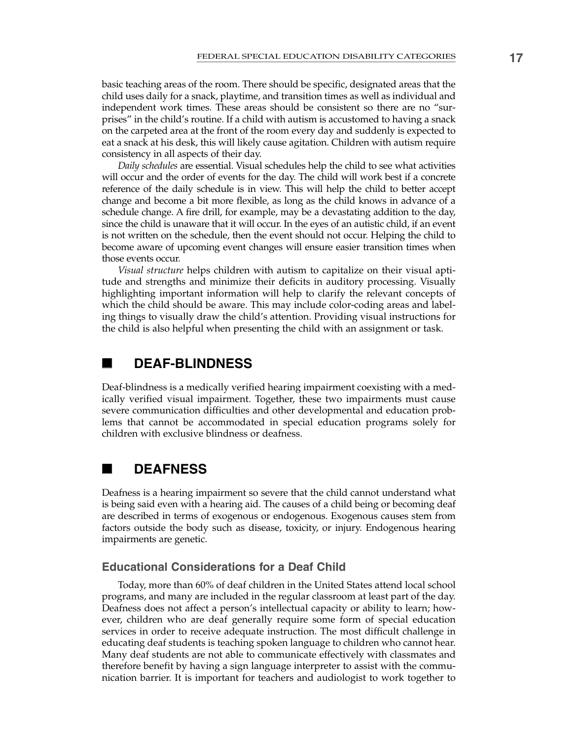basic teaching areas of the room. There should be specific, designated areas that the child uses daily for a snack, playtime, and transition times as well as individual and independent work times. These areas should be consistent so there are no "surprises" in the child's routine. If a child with autism is accustomed to having a snack on the carpeted area at the front of the room every day and suddenly is expected to eat a snack at his desk, this will likely cause agitation. Children with autism require consistency in all aspects of their day.

*Daily schedules* are essential. Visual schedules help the child to see what activities will occur and the order of events for the day. The child will work best if a concrete reference of the daily schedule is in view. This will help the child to better accept change and become a bit more flexible, as long as the child knows in advance of a schedule change. A fire drill, for example, may be a devastating addition to the day, since the child is unaware that it will occur. In the eyes of an autistic child, if an event is not written on the schedule, then the event should not occur. Helping the child to become aware of upcoming event changes will ensure easier transition times when those events occur.

*Visual structure* helps children with autism to capitalize on their visual aptitude and strengths and minimize their deficits in auditory processing. Visually highlighting important information will help to clarify the relevant concepts of which the child should be aware. This may include color-coding areas and labeling things to visually draw the child's attention. Providing visual instructions for the child is also helpful when presenting the child with an assignment or task.

# **■ DEAF-BLINDNESS**

Deaf-blindness is a medically verified hearing impairment coexisting with a medically verified visual impairment. Together, these two impairments must cause severe communication difficulties and other developmental and education problems that cannot be accommodated in special education programs solely for children with exclusive blindness or deafness.

# **■ DEAFNESS**

Deafness is a hearing impairment so severe that the child cannot understand what is being said even with a hearing aid. The causes of a child being or becoming deaf are described in terms of exogenous or endogenous. Exogenous causes stem from factors outside the body such as disease, toxicity, or injury. Endogenous hearing impairments are genetic.

## **Educational Considerations for a Deaf Child**

Today, more than 60% of deaf children in the United States attend local school programs, and many are included in the regular classroom at least part of the day. Deafness does not affect a person's intellectual capacity or ability to learn; however, children who are deaf generally require some form of special education services in order to receive adequate instruction. The most difficult challenge in educating deaf students is teaching spoken language to children who cannot hear. Many deaf students are not able to communicate effectively with classmates and therefore benefit by having a sign language interpreter to assist with the communication barrier. It is important for teachers and audiologist to work together to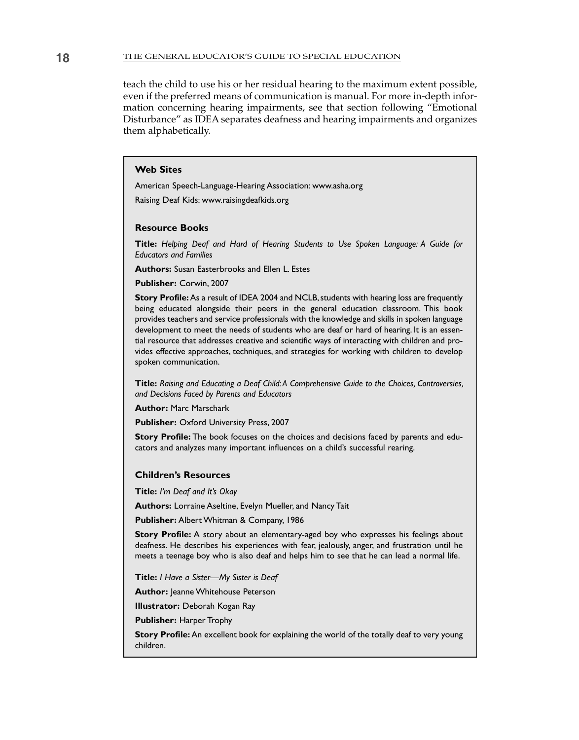teach the child to use his or her residual hearing to the maximum extent possible, even if the preferred means of communication is manual. For more in-depth information concerning hearing impairments, see that section following "Emotional Disturbance" as IDEA separates deafness and hearing impairments and organizes them alphabetically.

#### **Web Sites**

American Speech-Language-Hearing Association: www.asha.org

Raising Deaf Kids: www.raisingdeafkids.org

#### **Resource Books**

**Title:** *Helping Deaf and Hard of Hearing Students to Use Spoken Language: A Guide for Educators and Families*

**Authors:** Susan Easterbrooks and Ellen L. Estes

**Publisher:** Corwin, 2007

**Story Profile:** As a result of IDEA 2004 and NCLB, students with hearing loss are frequently being educated alongside their peers in the general education classroom. This book provides teachers and service professionals with the knowledge and skills in spoken language development to meet the needs of students who are deaf or hard of hearing. It is an essential resource that addresses creative and scientific ways of interacting with children and provides effective approaches, techniques, and strategies for working with children to develop spoken communication.

**Title:** *Raising and Educating a Deaf Child:A Comprehensive Guide to the Choices, Controversies, and Decisions Faced by Parents and Educators*

**Author:** Marc Marschark

**Publisher:** Oxford University Press, 2007

**Story Profile:** The book focuses on the choices and decisions faced by parents and educators and analyzes many important influences on a child's successful rearing.

#### **Children's Resources**

**Title:** *I'm Deaf and It's Okay*

**Authors:** Lorraine Aseltine, Evelyn Mueller, and Nancy Tait

**Publisher:** Albert Whitman & Company, 1986

**Story Profile:** A story about an elementary-aged boy who expresses his feelings about deafness. He describes his experiences with fear, jealously, anger, and frustration until he meets a teenage boy who is also deaf and helps him to see that he can lead a normal life.

**Title:** *I Have a Sister—My Sister is Deaf*

**Author:** Jeanne Whitehouse Peterson

**Illustrator:** Deborah Kogan Ray

**Publisher:** Harper Trophy

**Story Profile:**An excellent book for explaining the world of the totally deaf to very young children.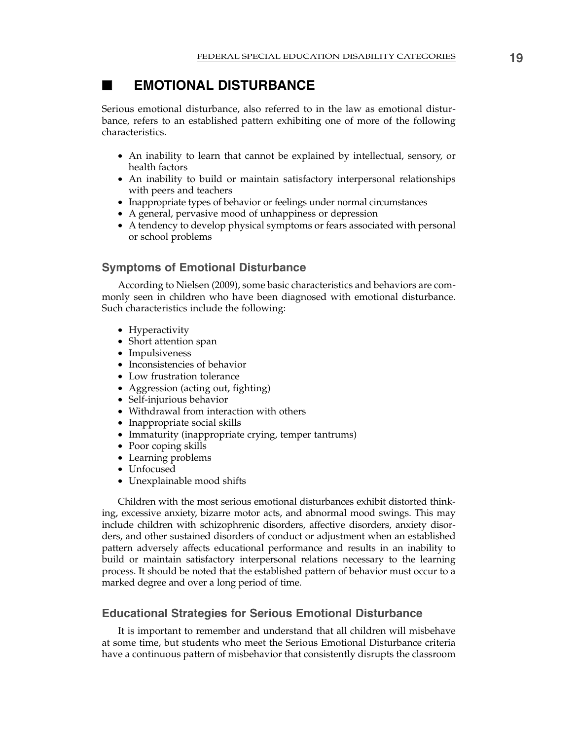# **■ EMOTIONAL DISTURBANCE**

Serious emotional disturbance, also referred to in the law as emotional disturbance, refers to an established pattern exhibiting one of more of the following characteristics.

- An inability to learn that cannot be explained by intellectual, sensory, or health factors
- An inability to build or maintain satisfactory interpersonal relationships with peers and teachers
- Inappropriate types of behavior or feelings under normal circumstances
- A general, pervasive mood of unhappiness or depression
- A tendency to develop physical symptoms or fears associated with personal or school problems

## **Symptoms of Emotional Disturbance**

According to Nielsen (2009), some basic characteristics and behaviors are commonly seen in children who have been diagnosed with emotional disturbance. Such characteristics include the following:

- Hyperactivity
- Short attention span
- Impulsiveness
- Inconsistencies of behavior
- Low frustration tolerance
- Aggression (acting out, fighting)
- Self-injurious behavior
- Withdrawal from interaction with others
- Inappropriate social skills
- Immaturity (inappropriate crying, temper tantrums)
- Poor coping skills
- Learning problems
- Unfocused
- Unexplainable mood shifts

Children with the most serious emotional disturbances exhibit distorted thinking, excessive anxiety, bizarre motor acts, and abnormal mood swings. This may include children with schizophrenic disorders, affective disorders, anxiety disorders, and other sustained disorders of conduct or adjustment when an established pattern adversely affects educational performance and results in an inability to build or maintain satisfactory interpersonal relations necessary to the learning process. It should be noted that the established pattern of behavior must occur to a marked degree and over a long period of time.

## **Educational Strategies for Serious Emotional Disturbance**

It is important to remember and understand that all children will misbehave at some time, but students who meet the Serious Emotional Disturbance criteria have a continuous pattern of misbehavior that consistently disrupts the classroom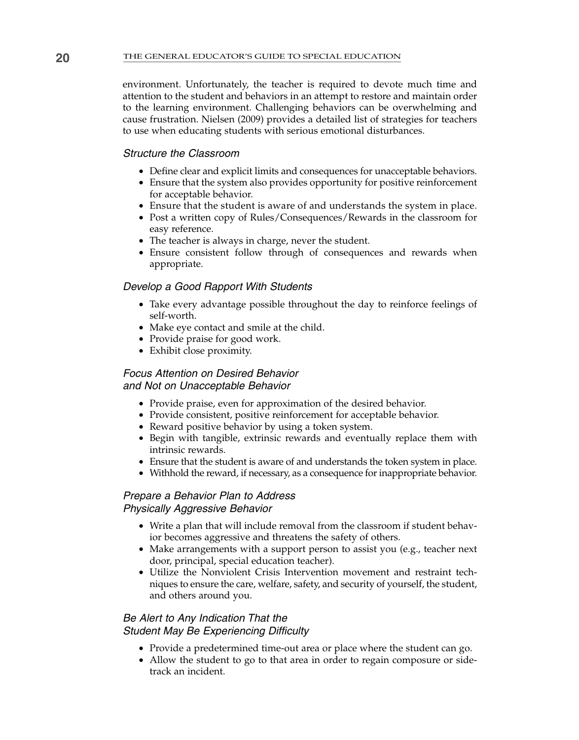environment. Unfortunately, the teacher is required to devote much time and attention to the student and behaviors in an attempt to restore and maintain order to the learning environment. Challenging behaviors can be overwhelming and cause frustration. Nielsen (2009) provides a detailed list of strategies for teachers to use when educating students with serious emotional disturbances.

## *Structure the Classroom*

- Define clear and explicit limits and consequences for unacceptable behaviors.
- Ensure that the system also provides opportunity for positive reinforcement for acceptable behavior.
- Ensure that the student is aware of and understands the system in place.
- Post a written copy of Rules/Consequences/Rewards in the classroom for easy reference.
- The teacher is always in charge, never the student.
- Ensure consistent follow through of consequences and rewards when appropriate.

## *Develop a Good Rapport With Students*

- Take every advantage possible throughout the day to reinforce feelings of self-worth.
- Make eye contact and smile at the child.
- Provide praise for good work.
- Exhibit close proximity.

## *Focus Attention on Desired Behavior and Not on Unacceptable Behavior*

- Provide praise, even for approximation of the desired behavior.
- Provide consistent, positive reinforcement for acceptable behavior.
- Reward positive behavior by using a token system.
- Begin with tangible, extrinsic rewards and eventually replace them with intrinsic rewards.
- Ensure that the student is aware of and understands the token system in place.
- Withhold the reward, if necessary, as a consequence for inappropriate behavior.

## *Prepare a Behavior Plan to Address Physically Aggressive Behavior*

- Write a plan that will include removal from the classroom if student behavior becomes aggressive and threatens the safety of others.
- Make arrangements with a support person to assist you (e.g., teacher next door, principal, special education teacher).
- Utilize the Nonviolent Crisis Intervention movement and restraint techniques to ensure the care, welfare, safety, and security of yourself, the student, and others around you.

## *Be Alert to Any Indication That the Student May Be Experiencing Difficulty*

- Provide a predetermined time-out area or place where the student can go.
- Allow the student to go to that area in order to regain composure or sidetrack an incident.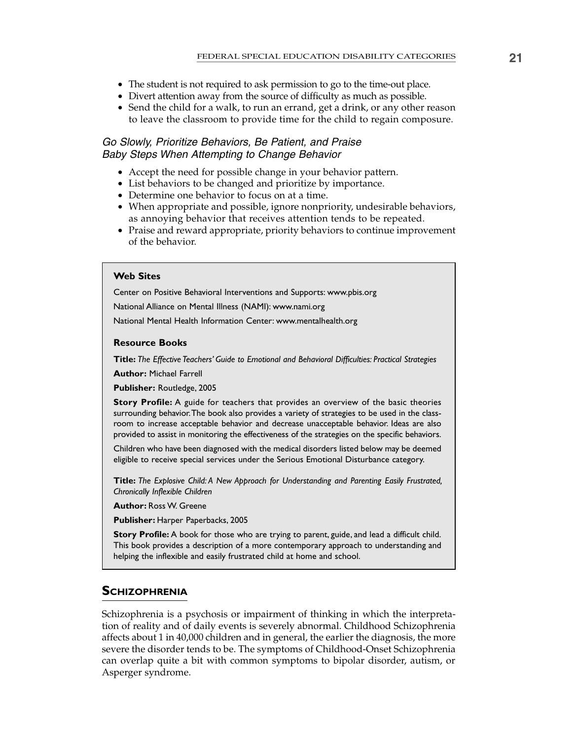- The student is not required to ask permission to go to the time-out place.
- Divert attention away from the source of difficulty as much as possible.
- Send the child for a walk, to run an errand, get a drink, or any other reason to leave the classroom to provide time for the child to regain composure.

## *Go Slowly, Prioritize Behaviors, Be Patient, and Praise Baby Steps When Attempting to Change Behavior*

- Accept the need for possible change in your behavior pattern.
- List behaviors to be changed and prioritize by importance.
- Determine one behavior to focus on at a time.
- When appropriate and possible, ignore nonpriority, undesirable behaviors, as annoying behavior that receives attention tends to be repeated.
- Praise and reward appropriate, priority behaviors to continue improvement of the behavior.

#### **Web Sites**

Center on Positive Behavioral Interventions and Supports: www.pbis.org

National Alliance on Mental Illness (NAMI): www.nami.org

National Mental Health Information Center: www.mentalhealth.org

#### **Resource Books**

**Title:** *The Effective Teachers' Guide to Emotional and Behavioral Difficulties: Practical Strategies*

**Author:** Michael Farrell

**Publisher:** Routledge, 2005

**Story Profile:** A guide for teachers that provides an overview of the basic theories surrounding behavior.The book also provides a variety of strategies to be used in the classroom to increase acceptable behavior and decrease unacceptable behavior. Ideas are also provided to assist in monitoring the effectiveness of the strategies on the specific behaviors.

Children who have been diagnosed with the medical disorders listed below may be deemed eligible to receive special services under the Serious Emotional Disturbance category.

**Title:** *The Explosive Child: A New Approach for Understanding and Parenting Easily Frustrated, Chronically Inflexible Children*

**Author:** Ross W. Greene

**Publisher:** Harper Paperbacks, 2005

**Story Profile:** A book for those who are trying to parent, guide, and lead a difficult child. This book provides a description of a more contemporary approach to understanding and helping the inflexible and easily frustrated child at home and school.

## **SCHIZOPHRENIA**

Schizophrenia is a psychosis or impairment of thinking in which the interpretation of reality and of daily events is severely abnormal. Childhood Schizophrenia affects about 1 in 40,000 children and in general, the earlier the diagnosis, the more severe the disorder tends to be. The symptoms of Childhood-Onset Schizophrenia can overlap quite a bit with common symptoms to bipolar disorder, autism, or Asperger syndrome.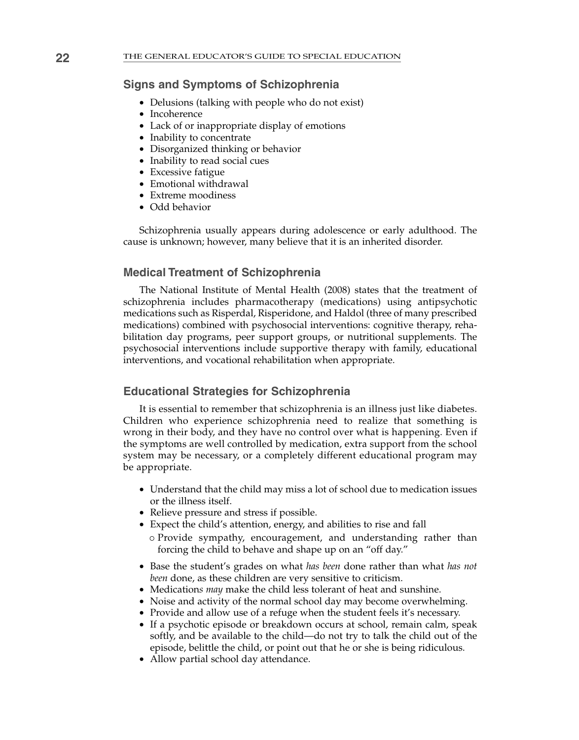## **Signs and Symptoms of Schizophrenia**

- Delusions (talking with people who do not exist)
- Incoherence
- Lack of or inappropriate display of emotions
- Inability to concentrate
- Disorganized thinking or behavior
- Inability to read social cues
- Excessive fatigue
- Emotional withdrawal
- Extreme moodiness
- Odd behavior

Schizophrenia usually appears during adolescence or early adulthood. The cause is unknown; however, many believe that it is an inherited disorder.

## **Medical Treatment of Schizophrenia**

The National Institute of Mental Health (2008) states that the treatment of schizophrenia includes pharmacotherapy (medications) using antipsychotic medications such as Risperdal, Risperidone, and Haldol (three of many prescribed medications) combined with psychosocial interventions: cognitive therapy, rehabilitation day programs, peer support groups, or nutritional supplements. The psychosocial interventions include supportive therapy with family, educational interventions, and vocational rehabilitation when appropriate.

## **Educational Strategies for Schizophrenia**

It is essential to remember that schizophrenia is an illness just like diabetes. Children who experience schizophrenia need to realize that something is wrong in their body, and they have no control over what is happening. Even if the symptoms are well controlled by medication, extra support from the school system may be necessary, or a completely different educational program may be appropriate.

- Understand that the child may miss a lot of school due to medication issues or the illness itself.
- Relieve pressure and stress if possible.
- Expect the child's attention, energy, and abilities to rise and fall
	- Provide sympathy, encouragement, and understanding rather than forcing the child to behave and shape up on an "off day."
- Base the student's grades on what *has been* done rather than what *has not been* done, as these children are very sensitive to criticism.
- Medication*s may* make the child less tolerant of heat and sunshine.
- Noise and activity of the normal school day may become overwhelming.
- Provide and allow use of a refuge when the student feels it's necessary.
- If a psychotic episode or breakdown occurs at school, remain calm, speak softly, and be available to the child—do not try to talk the child out of the episode, belittle the child, or point out that he or she is being ridiculous.
- Allow partial school day attendance.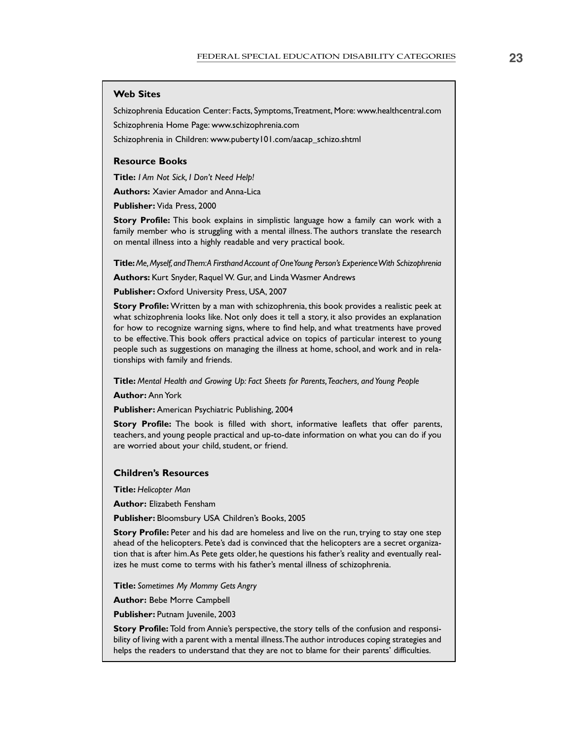#### **Web Sites**

Schizophrenia Education Center: Facts, Symptoms,Treatment, More: www.healthcentral.com

Schizophrenia Home Page: www.schizophrenia.com

Schizophrenia in Children: www.puberty101.com/aacap\_schizo.shtml

#### **Resource Books**

**Title:** *I Am Not Sick, I Don't Need Help!*

**Authors:** Xavier Amador and Anna-Lica

**Publisher:** Vida Press, 2000

**Story Profile:** This book explains in simplistic language how a family can work with a family member who is struggling with a mental illness.The authors translate the research on mental illness into a highly readable and very practical book.

**Title:***Me,Myself,andThem:A FirsthandAccount of OneYoung Person's ExperienceWith Schizophrenia*

**Authors:** Kurt Snyder, Raquel W. Gur, and Linda Wasmer Andrews

**Publisher:** Oxford University Press, USA, 2007

**Story Profile:** Written by a man with schizophrenia, this book provides a realistic peek at what schizophrenia looks like. Not only does it tell a story, it also provides an explanation for how to recognize warning signs, where to find help, and what treatments have proved to be effective.This book offers practical advice on topics of particular interest to young people such as suggestions on managing the illness at home, school, and work and in relationships with family and friends.

**Title:** *Mental Health and Growing Up: Fact Sheets for Parents,Teachers, and Young People*

**Author:** Ann York

**Publisher:** American Psychiatric Publishing, 2004

**Story Profile:** The book is filled with short, informative leaflets that offer parents, teachers, and young people practical and up-to-date information on what you can do if you are worried about your child, student, or friend.

#### **Children's Resources**

**Title:** *Helicopter Man*

**Author:** Elizabeth Fensham

**Publisher:** Bloomsbury USA Children's Books, 2005

**Story Profile:** Peter and his dad are homeless and live on the run, trying to stay one step ahead of the helicopters. Pete's dad is convinced that the helicopters are a secret organization that is after him.As Pete gets older, he questions his father's reality and eventually realizes he must come to terms with his father's mental illness of schizophrenia.

**Title:** *Sometimes My Mommy Gets Angry*

**Author:** Bebe Morre Campbell

**Publisher:** Putnam Juvenile, 2003

**Story Profile:** Told from Annie's perspective, the story tells of the confusion and responsibility of living with a parent with a mental illness.The author introduces coping strategies and helps the readers to understand that they are not to blame for their parents' difficulties.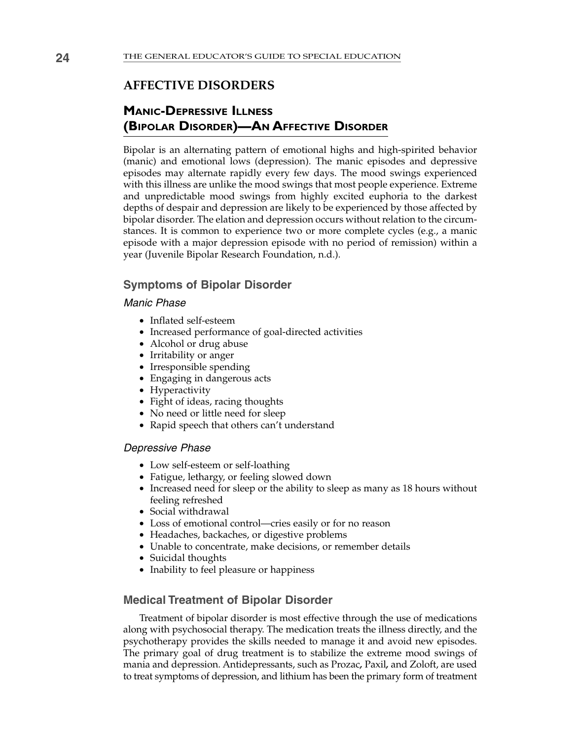## **AFFECTIVE DISORDERS**

# **MANIC-DEPRESSIVE ILLNESS (BIPOLAR DISORDER)—AN AFFECTIVE DISORDER**

Bipolar is an alternating pattern of emotional highs and high-spirited behavior (manic) and emotional lows (depression). The manic episodes and depressive episodes may alternate rapidly every few days. The mood swings experienced with this illness are unlike the mood swings that most people experience. Extreme and unpredictable mood swings from highly excited euphoria to the darkest depths of despair and depression are likely to be experienced by those affected by bipolar disorder. The elation and depression occurs without relation to the circumstances. It is common to experience two or more complete cycles (e.g., a manic episode with a major depression episode with no period of remission) within a year (Juvenile Bipolar Research Foundation, n.d.).

## **Symptoms of Bipolar Disorder**

## *Manic Phase*

- Inflated self-esteem
- Increased performance of goal-directed activities
- Alcohol or drug abuse
- Irritability or anger
- Irresponsible spending
- Engaging in dangerous acts
- Hyperactivity
- Fight of ideas, racing thoughts
- No need or little need for sleep
- Rapid speech that others can't understand

## *Depressive Phase*

- Low self-esteem or self-loathing
- Fatigue, lethargy, or feeling slowed down
- Increased need for sleep or the ability to sleep as many as 18 hours without feeling refreshed
- Social withdrawal
- Loss of emotional control—cries easily or for no reason
- Headaches, backaches, or digestive problems
- Unable to concentrate, make decisions, or remember details
- Suicidal thoughts
- Inability to feel pleasure or happiness

## **Medical Treatment of Bipolar Disorder**

Treatment of bipolar disorder is most effective through the use of medications along with psychosocial therapy. The medication treats the illness directly, and the psychotherapy provides the skills needed to manage it and avoid new episodes. The primary goal of drug treatment is to stabilize the extreme mood swings of mania and depression. Antidepressants, such as Prozac*,* Paxil*,* and Zoloft, are used to treat symptoms of depression, and lithium has been the primary form of treatment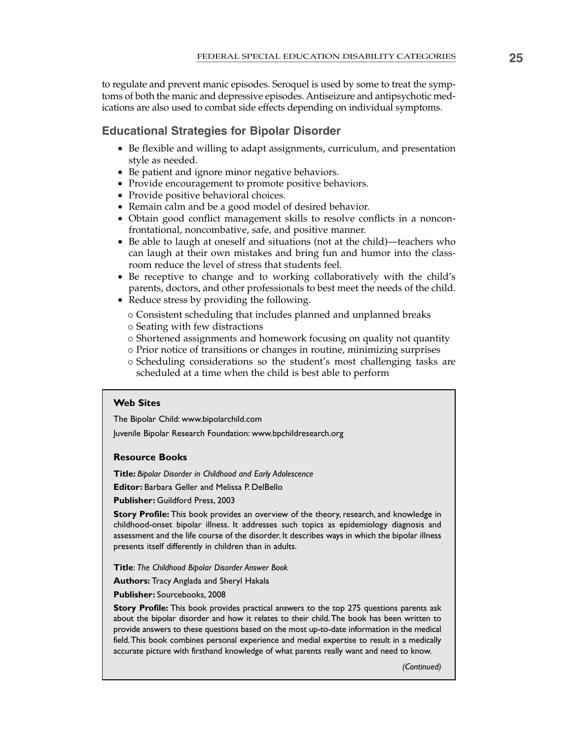to regulate and prevent manic episodes. Seroquel is used by some to treat the symptoms of both the manic and depressive episodes. Antiseizure and antipsychotic medications are also used to combat side effects depending on individual symptoms.

## **Educational Strategies for Bipolar Disorder**

- Be flexible and willing to adapt assignments, curriculum, and presentation style as needed.
- Be patient and ignore minor negative behaviors.
- Provide encouragement to promote positive behaviors.
- Provide positive behavioral choices.
- Remain calm and be a good model of desired behavior.
- Obtain good conflict management skills to resolve conflicts in a nonconfrontational, noncombative, safe, and positive manner.
- Be able to laugh at oneself and situations (not at the child)—teachers who can laugh at their own mistakes and bring fun and humor into the classroom reduce the level of stress that students feel.
- Be receptive to change and to working collaboratively with the child's parents, doctors, and other professionals to best meet the needs of the child.
- Reduce stress by providing the following.
	- Consistent scheduling that includes planned and unplanned breaks
	- Seating with few distractions
	- Shortened assignments and homework focusing on quality not quantity
	- Prior notice of transitions or changes in routine, minimizing surprises
	- Scheduling considerations so the student's most challenging tasks are scheduled at a time when the child is best able to perform

#### **Web Sites**

The Bipolar Child: www.bipolarchild.com

Juvenile Bipolar Research Foundation: www.bpchildresearch.org

#### **Resource Books**

**Title:** *Bipolar Disorder in Childhood and Early Adolescence*

**Editor:** Barbara Geller and Melissa P. DelBello

**Publisher:** Guildford Press, 2003

**Story Profile:** This book provides an overview of the theory, research, and knowledge in childhood-onset bipolar illness. It addresses such topics as epidemiology diagnosis and assessment and the life course of the disorder. It describes ways in which the bipolar illness presents itself differently in children than in adults.

**Title**: *The Childhood Bipolar Disorder Answer Book*

**Authors:** Tracy Anglada and Sheryl Hakala

**Publisher:** Sourcebooks, 2008

**Story Profile:** This book provides practical answers to the top 275 questions parents ask about the bipolar disorder and how it relates to their child.The book has been written to provide answers to these questions based on the most up-to-date information in the medical field.This book combines personal experience and medial expertise to result in a medically accurate picture with firsthand knowledge of what parents really want and need to know.

*(Continued)*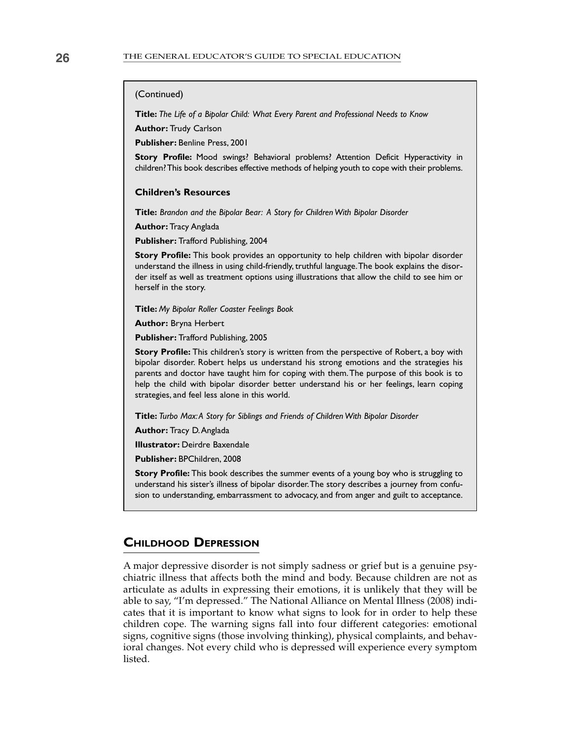## (Continued)

**Title:** *The Life of a Bipolar Child: What Every Parent and Professional Needs to Know*

**Author:** Trudy Carlson

**Publisher:** Benline Press, 2001

**Story Profile:** Mood swings? Behavioral problems? Attention Deficit Hyperactivity in children?This book describes effective methods of helping youth to cope with their problems.

#### **Children's Resources**

**Title:** *Brandon and the Bipolar Bear: A Story for Children With Bipolar Disorder*

**Author:** Tracy Anglada

**Publisher:** Trafford Publishing, 2004

**Story Profile:** This book provides an opportunity to help children with bipolar disorder understand the illness in using child-friendly, truthful language.The book explains the disorder itself as well as treatment options using illustrations that allow the child to see him or herself in the story.

**Title:** *My Bipolar Roller Coaster Feelings Book*

**Author:** Bryna Herbert

**Publisher:** Trafford Publishing, 2005

**Story Profile:** This children's story is written from the perspective of Robert, a boy with bipolar disorder. Robert helps us understand his strong emotions and the strategies his parents and doctor have taught him for coping with them.The purpose of this book is to help the child with bipolar disorder better understand his or her feelings, learn coping strategies, and feel less alone in this world.

**Title:** *Turbo Max:A Story for Siblings and Friends of Children With Bipolar Disorder*

**Author:** Tracy D.Anglada

**Illustrator:** Deirdre Baxendale

**Publisher:** BPChildren, 2008

**Story Profile:** This book describes the summer events of a young boy who is struggling to understand his sister's illness of bipolar disorder.The story describes a journey from confusion to understanding, embarrassment to advocacy, and from anger and guilt to acceptance.

## **CHILDHOOD DEPRESSION**

A major depressive disorder is not simply sadness or grief but is a genuine psychiatric illness that affects both the mind and body. Because children are not as articulate as adults in expressing their emotions, it is unlikely that they will be able to say, "I'm depressed." The National Alliance on Mental Illness (2008) indicates that it is important to know what signs to look for in order to help these children cope. The warning signs fall into four different categories: emotional signs, cognitive signs (those involving thinking), physical complaints, and behavioral changes. Not every child who is depressed will experience every symptom listed.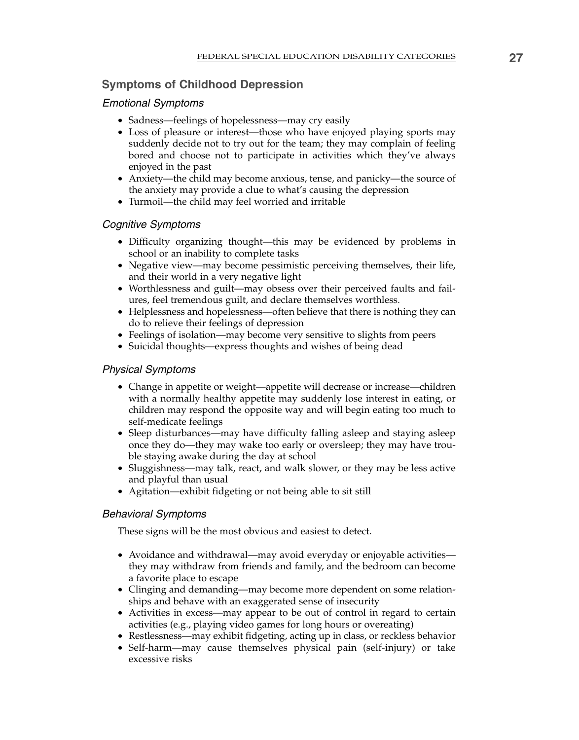# **Symptoms of Childhood Depression**

## *Emotional Symptoms*

- Sadness—feelings of hopelessness—may cry easily
- Loss of pleasure or interest—those who have enjoyed playing sports may suddenly decide not to try out for the team; they may complain of feeling bored and choose not to participate in activities which they've always enjoyed in the past
- Anxiety—the child may become anxious, tense, and panicky—the source of the anxiety may provide a clue to what's causing the depression
- Turmoil—the child may feel worried and irritable

## *Cognitive Symptoms*

- Difficulty organizing thought—this may be evidenced by problems in school or an inability to complete tasks
- Negative view—may become pessimistic perceiving themselves, their life, and their world in a very negative light
- Worthlessness and guilt—may obsess over their perceived faults and failures, feel tremendous guilt, and declare themselves worthless.
- Helplessness and hopelessness—often believe that there is nothing they can do to relieve their feelings of depression
- Feelings of isolation—may become very sensitive to slights from peers
- Suicidal thoughts—express thoughts and wishes of being dead

## *Physical Symptoms*

- Change in appetite or weight—appetite will decrease or increase—children with a normally healthy appetite may suddenly lose interest in eating, or children may respond the opposite way and will begin eating too much to self-medicate feelings
- Sleep disturbances—may have difficulty falling asleep and staying asleep once they do—they may wake too early or oversleep; they may have trouble staying awake during the day at school
- Sluggishness—may talk, react, and walk slower, or they may be less active and playful than usual
- Agitation—exhibit fidgeting or not being able to sit still

## *Behavioral Symptoms*

These signs will be the most obvious and easiest to detect.

- Avoidance and withdrawal—may avoid everyday or enjoyable activities they may withdraw from friends and family, and the bedroom can become a favorite place to escape
- Clinging and demanding—may become more dependent on some relationships and behave with an exaggerated sense of insecurity
- Activities in excess—may appear to be out of control in regard to certain activities (e.g., playing video games for long hours or overeating)
- Restlessness—may exhibit fidgeting, acting up in class, or reckless behavior
- Self-harm—may cause themselves physical pain (self-injury) or take excessive risks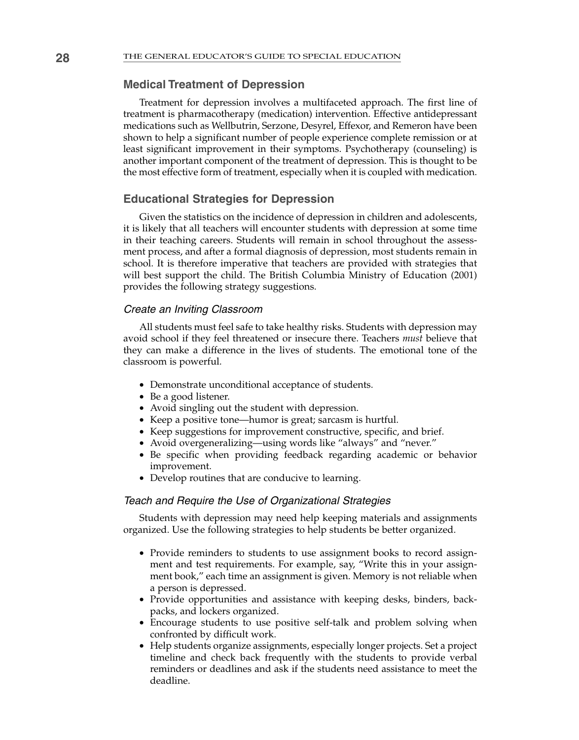## **Medical Treatment of Depression**

Treatment for depression involves a multifaceted approach. The first line of treatment is pharmacotherapy (medication) intervention. Effective antidepressant medications such as Wellbutrin, Serzone, Desyrel, Effexor, and Remeron have been shown to help a significant number of people experience complete remission or at least significant improvement in their symptoms. Psychotherapy (counseling) is another important component of the treatment of depression. This is thought to be the most effective form of treatment, especially when it is coupled with medication.

## **Educational Strategies for Depression**

Given the statistics on the incidence of depression in children and adolescents, it is likely that all teachers will encounter students with depression at some time in their teaching careers. Students will remain in school throughout the assessment process, and after a formal diagnosis of depression, most students remain in school. It is therefore imperative that teachers are provided with strategies that will best support the child. The British Columbia Ministry of Education (2001) provides the following strategy suggestions.

#### *Create an Inviting Classroom*

All students must feel safe to take healthy risks. Students with depression may avoid school if they feel threatened or insecure there. Teachers *must* believe that they can make a difference in the lives of students. The emotional tone of the classroom is powerful.

- Demonstrate unconditional acceptance of students.
- Be a good listener.
- Avoid singling out the student with depression.
- Keep a positive tone—humor is great; sarcasm is hurtful.
- Keep suggestions for improvement constructive, specific, and brief.
- Avoid overgeneralizing—using words like "always" and "never."
- Be specific when providing feedback regarding academic or behavior improvement.
- Develop routines that are conducive to learning.

#### *Teach and Require the Use of Organizational Strategies*

Students with depression may need help keeping materials and assignments organized. Use the following strategies to help students be better organized.

- Provide reminders to students to use assignment books to record assignment and test requirements. For example, say, "Write this in your assignment book," each time an assignment is given. Memory is not reliable when a person is depressed.
- Provide opportunities and assistance with keeping desks, binders, backpacks, and lockers organized.
- Encourage students to use positive self-talk and problem solving when confronted by difficult work.
- Help students organize assignments, especially longer projects. Set a project timeline and check back frequently with the students to provide verbal reminders or deadlines and ask if the students need assistance to meet the deadline.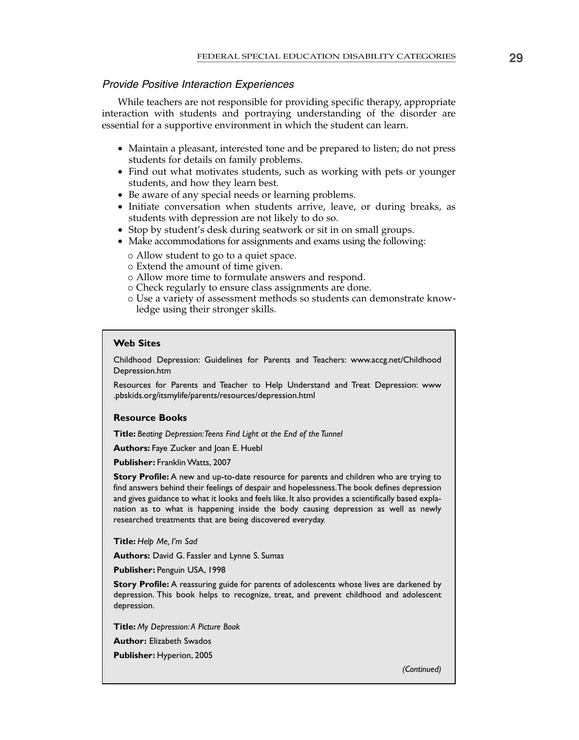## *Provide Positive Interaction Experiences*

While teachers are not responsible for providing specific therapy, appropriate interaction with students and portraying understanding of the disorder are essential for a supportive environment in which the student can learn.

- Maintain a pleasant, interested tone and be prepared to listen; do not press students for details on family problems.
- Find out what motivates students, such as working with pets or younger students, and how they learn best.
- Be aware of any special needs or learning problems.
- Initiate conversation when students arrive, leave, or during breaks, as students with depression are not likely to do so.
- Stop by student's desk during seatwork or sit in on small groups.
- Make accommodations for assignments and exams using the following:
	- Allow student to go to a quiet space.
	- Extend the amount of time given.
	- Allow more time to formulate answers and respond.
	- Check regularly to ensure class assignments are done.
	- Use a variety of assessment methods so students can demonstrate knowledge using their stronger skills.

## **Web Sites**

Childhood Depression: Guidelines for Parents and Teachers: www.accg.net/Childhood Depression.htm

Resources for Parents and Teacher to Help Understand and Treat Depression: www .pbskids.org/itsmylife/parents/resources/depression.html

#### **Resource Books**

**Title:** *Beating Depression:Teens Find Light at the End of the Tunnel*

**Authors:** Faye Zucker and Joan E. Huebl

**Publisher:** Franklin Watts, 2007

**Story Profile:** A new and up-to-date resource for parents and children who are trying to find answers behind their feelings of despair and hopelessness.The book defines depression and gives guidance to what it looks and feels like. It also provides a scientifically based explanation as to what is happening inside the body causing depression as well as newly researched treatments that are being discovered everyday.

**Title:** *Help Me, I'm Sad*

**Authors:** David G. Fassler and Lynne S. Sumas

**Publisher:** Penguin USA, 1998

**Story Profile:** A reassuring guide for parents of adolescents whose lives are darkened by depression. This book helps to recognize, treat, and prevent childhood and adolescent depression.

**Title:** *My Depression:A Picture Book*

**Author:** Elizabeth Swados

**Publisher:** Hyperion, 2005

*(Continued)*